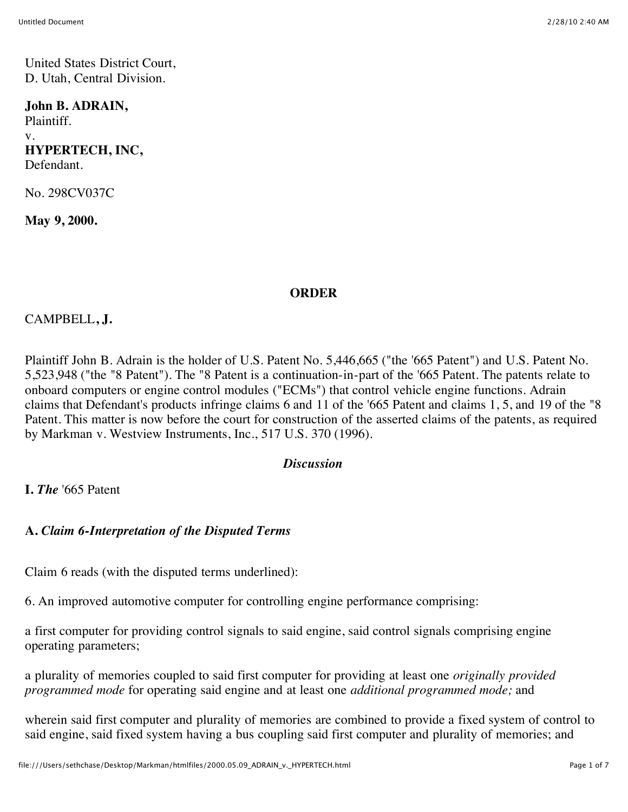United States District Court, D. Utah, Central Division.

#### **John B. ADRAIN,**

Plaintiff. v. **HYPERTECH, INC,** Defendant.

No. 298CV037C

**May 9, 2000.**

#### **ORDER**

## CAMPBELL**, J.**

Plaintiff John B. Adrain is the holder of U.S. Patent No. 5,446,665 ("the '665 Patent") and U.S. Patent No. 5,523,948 ("the "8 Patent"). The "8 Patent is a continuation-in-part of the '665 Patent. The patents relate to onboard computers or engine control modules ("ECMs") that control vehicle engine functions. Adrain claims that Defendant's products infringe claims 6 and 11 of the '665 Patent and claims 1, 5, and 19 of the "8 Patent. This matter is now before the court for construction of the asserted claims of the patents, as required by Markman v. Westview Instruments, Inc., 517 U.S. 370 (1996).

#### *Discussion*

**I.** *The* '665 Patent

## **A.** *Claim 6-Interpretation of the Disputed Terms*

Claim 6 reads (with the disputed terms underlined):

6. An improved automotive computer for controlling engine performance comprising:

a first computer for providing control signals to said engine, said control signals comprising engine operating parameters;

a plurality of memories coupled to said first computer for providing at least one *originally provided programmed mode* for operating said engine and at least one *additional programmed mode;* and

wherein said first computer and plurality of memories are combined to provide a fixed system of control to said engine, said fixed system having a bus coupling said first computer and plurality of memories; and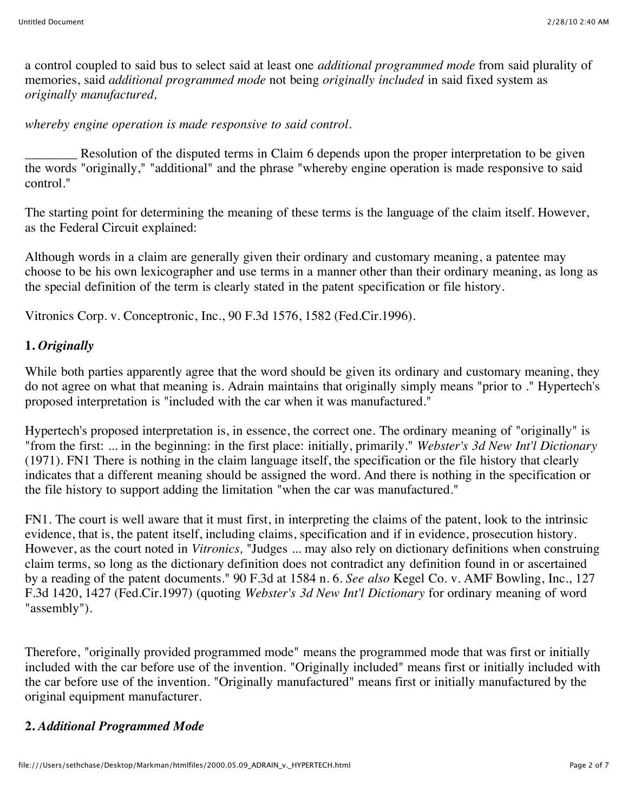a control coupled to said bus to select said at least one *additional programmed mode* from said plurality of memories, said *additional programmed mode* not being *originally included* in said fixed system as *originally manufactured,*

*whereby engine operation is made responsive to said control.*

Resolution of the disputed terms in Claim 6 depends upon the proper interpretation to be given the words "originally," "additional" and the phrase "whereby engine operation is made responsive to said control."

The starting point for determining the meaning of these terms is the language of the claim itself. However, as the Federal Circuit explained:

Although words in a claim are generally given their ordinary and customary meaning, a patentee may choose to be his own lexicographer and use terms in a manner other than their ordinary meaning, as long as the special definition of the term is clearly stated in the patent specification or file history.

Vitronics Corp. v. Conceptronic, Inc., 90 F.3d 1576, 1582 (Fed.Cir.1996).

# **1.** *Originally*

While both parties apparently agree that the word should be given its ordinary and customary meaning, they do not agree on what that meaning is. Adrain maintains that originally simply means "prior to ." Hypertech's proposed interpretation is "included with the car when it was manufactured."

Hypertech's proposed interpretation is, in essence, the correct one. The ordinary meaning of "originally" is "from the first: ... in the beginning: in the first place: initially, primarily." *Webster's 3d New Int'l Dictionary* (1971). FN1 There is nothing in the claim language itself, the specification or the file history that clearly indicates that a different meaning should be assigned the word. And there is nothing in the specification or the file history to support adding the limitation "when the car was manufactured."

FN1. The court is well aware that it must first, in interpreting the claims of the patent, look to the intrinsic evidence, that is, the patent itself, including claims, specification and if in evidence, prosecution history. However, as the court noted in *Vitronics,* "Judges ... may also rely on dictionary definitions when construing claim terms, so long as the dictionary definition does not contradict any definition found in or ascertained by a reading of the patent documents." 90 F.3d at 1584 n. 6. *See also* Kegel Co. v. AMF Bowling, Inc., 127 F.3d 1420, 1427 (Fed.Cir.1997) (quoting *Webster's 3d New Int'l Dictionary* for ordinary meaning of word "assembly").

Therefore, "originally provided programmed mode" means the programmed mode that was first or initially included with the car before use of the invention. "Originally included" means first or initially included with the car before use of the invention. "Originally manufactured" means first or initially manufactured by the original equipment manufacturer.

# **2.** *Additional Programmed Mode*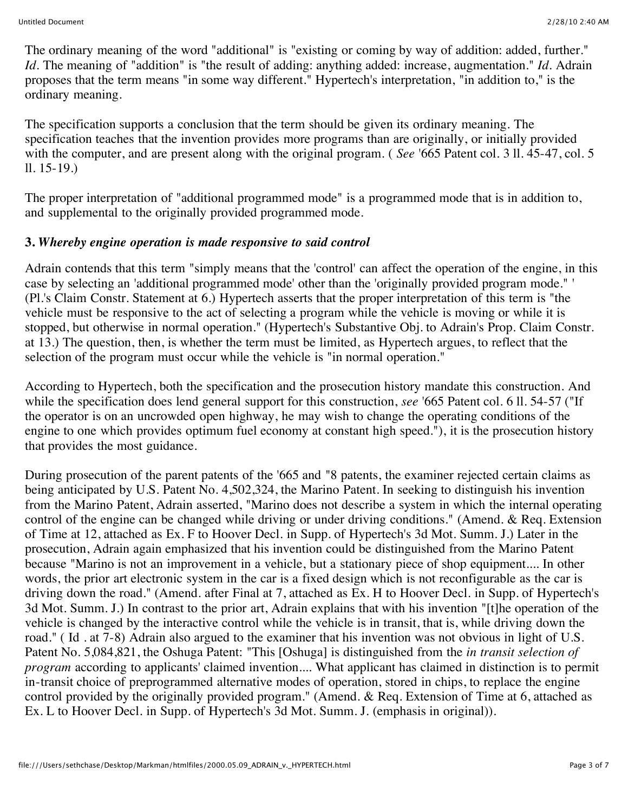The ordinary meaning of the word "additional" is "existing or coming by way of addition: added, further." *Id.* The meaning of "addition" is "the result of adding: anything added: increase, augmentation." *Id.* Adrain proposes that the term means "in some way different." Hypertech's interpretation, "in addition to," is the ordinary meaning.

The specification supports a conclusion that the term should be given its ordinary meaning. The specification teaches that the invention provides more programs than are originally, or initially provided with the computer, and are present along with the original program. (*See* '665 Patent col. 3 ll. 45-47, col. 5 ll. 15-19.)

The proper interpretation of "additional programmed mode" is a programmed mode that is in addition to, and supplemental to the originally provided programmed mode.

## **3.** *Whereby engine operation is made responsive to said control*

Adrain contends that this term "simply means that the 'control' can affect the operation of the engine, in this case by selecting an 'additional programmed mode' other than the 'originally provided program mode." ' (Pl.'s Claim Constr. Statement at 6.) Hypertech asserts that the proper interpretation of this term is "the vehicle must be responsive to the act of selecting a program while the vehicle is moving or while it is stopped, but otherwise in normal operation." (Hypertech's Substantive Obj. to Adrain's Prop. Claim Constr. at 13.) The question, then, is whether the term must be limited, as Hypertech argues, to reflect that the selection of the program must occur while the vehicle is "in normal operation."

According to Hypertech, both the specification and the prosecution history mandate this construction. And while the specification does lend general support for this construction, *see* '665 Patent col. 6 ll. 54-57 ("If the operator is on an uncrowded open highway, he may wish to change the operating conditions of the engine to one which provides optimum fuel economy at constant high speed."), it is the prosecution history that provides the most guidance.

During prosecution of the parent patents of the '665 and "8 patents, the examiner rejected certain claims as being anticipated by U.S. Patent No. 4,502,324, the Marino Patent. In seeking to distinguish his invention from the Marino Patent, Adrain asserted, "Marino does not describe a system in which the internal operating control of the engine can be changed while driving or under driving conditions." (Amend. & Req. Extension of Time at 12, attached as Ex. F to Hoover Decl. in Supp. of Hypertech's 3d Mot. Summ. J.) Later in the prosecution, Adrain again emphasized that his invention could be distinguished from the Marino Patent because "Marino is not an improvement in a vehicle, but a stationary piece of shop equipment.... In other words, the prior art electronic system in the car is a fixed design which is not reconfigurable as the car is driving down the road." (Amend. after Final at 7, attached as Ex. H to Hoover Decl. in Supp. of Hypertech's 3d Mot. Summ. J.) In contrast to the prior art, Adrain explains that with his invention "[t]he operation of the vehicle is changed by the interactive control while the vehicle is in transit, that is, while driving down the road." ( Id . at 7-8) Adrain also argued to the examiner that his invention was not obvious in light of U.S. Patent No. 5,084,821, the Oshuga Patent: "This [Oshuga] is distinguished from the *in transit selection of program* according to applicants' claimed invention.... What applicant has claimed in distinction is to permit in-transit choice of preprogrammed alternative modes of operation, stored in chips, to replace the engine control provided by the originally provided program." (Amend. & Req. Extension of Time at 6, attached as Ex. L to Hoover Decl. in Supp. of Hypertech's 3d Mot. Summ. J. (emphasis in original)).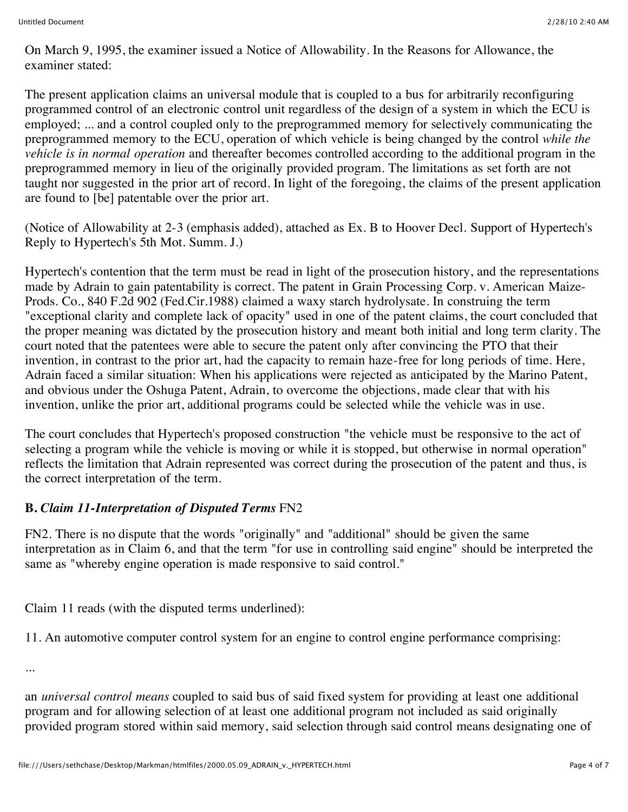On March 9, 1995, the examiner issued a Notice of Allowability. In the Reasons for Allowance, the examiner stated:

The present application claims an universal module that is coupled to a bus for arbitrarily reconfiguring programmed control of an electronic control unit regardless of the design of a system in which the ECU is employed; ... and a control coupled only to the preprogrammed memory for selectively communicating the preprogrammed memory to the ECU, operation of which vehicle is being changed by the control *while the vehicle is in normal operation* and thereafter becomes controlled according to the additional program in the preprogrammed memory in lieu of the originally provided program. The limitations as set forth are not taught nor suggested in the prior art of record. In light of the foregoing, the claims of the present application are found to [be] patentable over the prior art.

(Notice of Allowability at 2-3 (emphasis added), attached as Ex. B to Hoover Decl. Support of Hypertech's Reply to Hypertech's 5th Mot. Summ. J.)

Hypertech's contention that the term must be read in light of the prosecution history, and the representations made by Adrain to gain patentability is correct. The patent in Grain Processing Corp. v. American Maize-Prods. Co., 840 F.2d 902 (Fed.Cir.1988) claimed a waxy starch hydrolysate. In construing the term "exceptional clarity and complete lack of opacity" used in one of the patent claims, the court concluded that the proper meaning was dictated by the prosecution history and meant both initial and long term clarity. The court noted that the patentees were able to secure the patent only after convincing the PTO that their invention, in contrast to the prior art, had the capacity to remain haze-free for long periods of time. Here, Adrain faced a similar situation: When his applications were rejected as anticipated by the Marino Patent, and obvious under the Oshuga Patent, Adrain, to overcome the objections, made clear that with his invention, unlike the prior art, additional programs could be selected while the vehicle was in use.

The court concludes that Hypertech's proposed construction "the vehicle must be responsive to the act of selecting a program while the vehicle is moving or while it is stopped, but otherwise in normal operation" reflects the limitation that Adrain represented was correct during the prosecution of the patent and thus, is the correct interpretation of the term.

## **B.** *Claim 11-Interpretation of Disputed Terms* FN2

FN2. There is no dispute that the words "originally" and "additional" should be given the same interpretation as in Claim 6, and that the term "for use in controlling said engine" should be interpreted the same as "whereby engine operation is made responsive to said control."

Claim 11 reads (with the disputed terms underlined):

11. An automotive computer control system for an engine to control engine performance comprising:

...

an *universal control means* coupled to said bus of said fixed system for providing at least one additional program and for allowing selection of at least one additional program not included as said originally provided program stored within said memory, said selection through said control means designating one of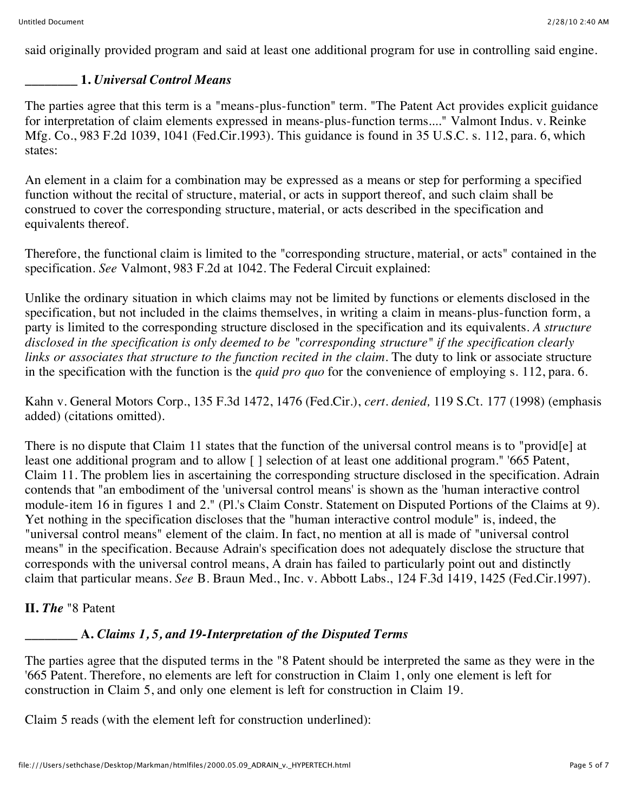said originally provided program and said at least one additional program for use in controlling said engine.

## **\_\_\_\_\_\_\_\_ 1.** *Universal Control Means*

The parties agree that this term is a "means-plus-function" term. "The Patent Act provides explicit guidance for interpretation of claim elements expressed in means-plus-function terms...." Valmont Indus. v. Reinke Mfg. Co., 983 F.2d 1039, 1041 (Fed.Cir.1993). This guidance is found in 35 U.S.C. s. 112, para. 6, which states:

An element in a claim for a combination may be expressed as a means or step for performing a specified function without the recital of structure, material, or acts in support thereof, and such claim shall be construed to cover the corresponding structure, material, or acts described in the specification and equivalents thereof.

Therefore, the functional claim is limited to the "corresponding structure, material, or acts" contained in the specification. *See* Valmont, 983 F.2d at 1042. The Federal Circuit explained:

Unlike the ordinary situation in which claims may not be limited by functions or elements disclosed in the specification, but not included in the claims themselves, in writing a claim in means-plus-function form, a party is limited to the corresponding structure disclosed in the specification and its equivalents. *A structure disclosed in the specification is only deemed to be "corresponding structure" if the specification clearly links or associates that structure to the function recited in the claim.* The duty to link or associate structure in the specification with the function is the *quid pro quo* for the convenience of employing s. 112, para. 6.

Kahn v. General Motors Corp., 135 F.3d 1472, 1476 (Fed.Cir.), *cert. denied,* 119 S.Ct. 177 (1998) (emphasis added) (citations omitted).

There is no dispute that Claim 11 states that the function of the universal control means is to "provid[e] at least one additional program and to allow [] selection of at least one additional program." '665 Patent, Claim 11. The problem lies in ascertaining the corresponding structure disclosed in the specification. Adrain contends that "an embodiment of the 'universal control means' is shown as the 'human interactive control module-item 16 in figures 1 and 2." (Pl.'s Claim Constr. Statement on Disputed Portions of the Claims at 9). Yet nothing in the specification discloses that the "human interactive control module" is, indeed, the "universal control means" element of the claim. In fact, no mention at all is made of "universal control means" in the specification. Because Adrain's specification does not adequately disclose the structure that corresponds with the universal control means, A drain has failed to particularly point out and distinctly claim that particular means. *See* B. Braun Med., Inc. v. Abbott Labs., 124 F.3d 1419, 1425 (Fed.Cir.1997).

**II.** *The* "8 Patent

# **\_\_\_\_\_\_\_\_ A.** *Claims 1, 5, and 19-Interpretation of the Disputed Terms*

The parties agree that the disputed terms in the "8 Patent should be interpreted the same as they were in the '665 Patent. Therefore, no elements are left for construction in Claim 1, only one element is left for construction in Claim 5, and only one element is left for construction in Claim 19.

Claim 5 reads (with the element left for construction underlined):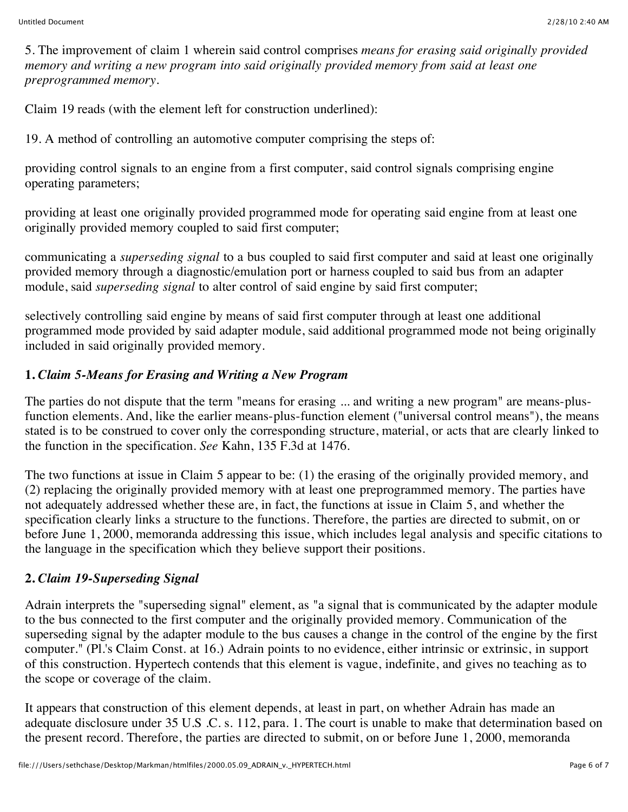5. The improvement of claim 1 wherein said control comprises *means for erasing said originally provided memory and writing a new program into said originally provided memory from said at least one preprogrammed memory.*

Claim 19 reads (with the element left for construction underlined):

19. A method of controlling an automotive computer comprising the steps of:

providing control signals to an engine from a first computer, said control signals comprising engine operating parameters;

providing at least one originally provided programmed mode for operating said engine from at least one originally provided memory coupled to said first computer;

communicating a *superseding signal* to a bus coupled to said first computer and said at least one originally provided memory through a diagnostic/emulation port or harness coupled to said bus from an adapter module, said *superseding signal* to alter control of said engine by said first computer;

selectively controlling said engine by means of said first computer through at least one additional programmed mode provided by said adapter module, said additional programmed mode not being originally included in said originally provided memory.

## **1.** *Claim 5-Means for Erasing and Writing a New Program*

The parties do not dispute that the term "means for erasing ... and writing a new program" are means-plusfunction elements. And, like the earlier means-plus-function element ("universal control means"), the means stated is to be construed to cover only the corresponding structure, material, or acts that are clearly linked to the function in the specification. *See* Kahn, 135 F.3d at 1476.

The two functions at issue in Claim 5 appear to be: (1) the erasing of the originally provided memory, and (2) replacing the originally provided memory with at least one preprogrammed memory. The parties have not adequately addressed whether these are, in fact, the functions at issue in Claim 5, and whether the specification clearly links a structure to the functions. Therefore, the parties are directed to submit, on or before June 1, 2000, memoranda addressing this issue, which includes legal analysis and specific citations to the language in the specification which they believe support their positions.

## **2.** *Claim 19-Superseding Signal*

Adrain interprets the "superseding signal" element, as "a signal that is communicated by the adapter module to the bus connected to the first computer and the originally provided memory. Communication of the superseding signal by the adapter module to the bus causes a change in the control of the engine by the first computer." (Pl.'s Claim Const. at 16.) Adrain points to no evidence, either intrinsic or extrinsic, in support of this construction. Hypertech contends that this element is vague, indefinite, and gives no teaching as to the scope or coverage of the claim.

It appears that construction of this element depends, at least in part, on whether Adrain has made an adequate disclosure under 35 U.S .C. s. 112, para. 1. The court is unable to make that determination based on the present record. Therefore, the parties are directed to submit, on or before June 1, 2000, memoranda